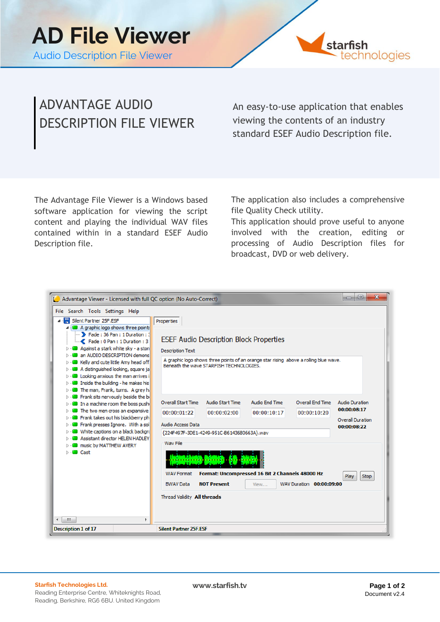

## ADVANTAGE AUDIO DESCRIPTION FILE VIEWER

An easy-to-use application that enables viewing the contents of an industry standard ESEF Audio Description file.

The Advantage File Viewer is a Windows based software application for viewing the script content and playing the individual WAV files contained within in a standard ESEF Audio Description file.

The application also includes a comprehensive file Quality Check utility.

This application should prove useful to anyone involved with the creation, editing or processing of Audio Description files for broadcast, DVD or web delivery.

| <u>.e.</u><br>$\mathbf{x}$<br>œ<br>Advantage Viewer - Licensed with full QC option (No Auto-Correct)                                                                                                                                                                                                                                                                                                                                                                                                                                            |                                                                                                                                                                                                                                                                                                                                                                                                                                          |                                                                                                       |
|-------------------------------------------------------------------------------------------------------------------------------------------------------------------------------------------------------------------------------------------------------------------------------------------------------------------------------------------------------------------------------------------------------------------------------------------------------------------------------------------------------------------------------------------------|------------------------------------------------------------------------------------------------------------------------------------------------------------------------------------------------------------------------------------------------------------------------------------------------------------------------------------------------------------------------------------------------------------------------------------------|-------------------------------------------------------------------------------------------------------|
| File Search Tools Settings Help<br>⊿ · R Silent Partner 25F.ESF<br>4 A graphic logo shows three points<br>Fade: 36 Pan: 1 Duration: 3<br>Fade: 0 Pan: 1 Duration: 3<br>Against a stark white sky - a ston<br>an AUDIO DESCRIPTION demons<br>Kelly and cute little Amy head off<br>> - a distinguished looking, square ja<br>$\triangleright$ $\cdot$ <b>2</b> Looking anxious the man arrives i<br>$\triangleright$ $\cdot$ <b>and</b> Inside the building - he makes his<br>$\triangleright$ $\cdot$ <b>M</b> The man, Frank, turns. A grey h. | Properties<br><b>ESEF Audio Description Block Properties</b><br><b>Description Text</b><br>A graphic logo shows three points of an orange star rising above a rolling blue wave.<br>Beneath the wave STARFISH TECHNOLOGIES.                                                                                                                                                                                                              |                                                                                                       |
| > - <b>a</b> Frank sits nervously beside the bi<br>> - a machine room the boss push<br><b>D</b> Fine two men cross an expansive<br>>  Frank takes out his blackberry ph<br>> - <b>B</b> Frank presses Ignore. With a sol<br><b>D</b> White captions on a black background<br><b>D</b> - <b>2</b> Assistant director HELEN HADLEY<br><b>D</b> - <b>M</b> music by MATTHEW AVERY<br>D - <b>D</b> Cast<br>m<br>۰                                                                                                                                   | <b>Overall Start Time</b><br><b>Audio Start Time</b><br><b>Audio End Time</b><br>Overall End Time<br>00:00:01:22<br>00:00:10:17<br>00:00:10:20<br>00:00:02:00<br><b>Audio Access Data</b><br>{224F497F-3DE1-4249-951C-B61436B0663A}.wav<br>Way File<br>Format: Uncompressed 16 Bit 2 Channels 48000 Hz<br><b>WAV Format</b><br><b>NOT Present</b><br><b>BWAV Data</b><br>WAV Duration 00:00:09:00<br>View<br>Thread Validity All threads | <b>Audio Duration</b><br>00:00:08:17<br><b>Overall Duration</b><br>00:00:08:22<br>Play<br><b>Stop</b> |
| <b>Silent Partner 25F.ESF</b><br><b>Description 1 of 17</b>                                                                                                                                                                                                                                                                                                                                                                                                                                                                                     |                                                                                                                                                                                                                                                                                                                                                                                                                                          |                                                                                                       |